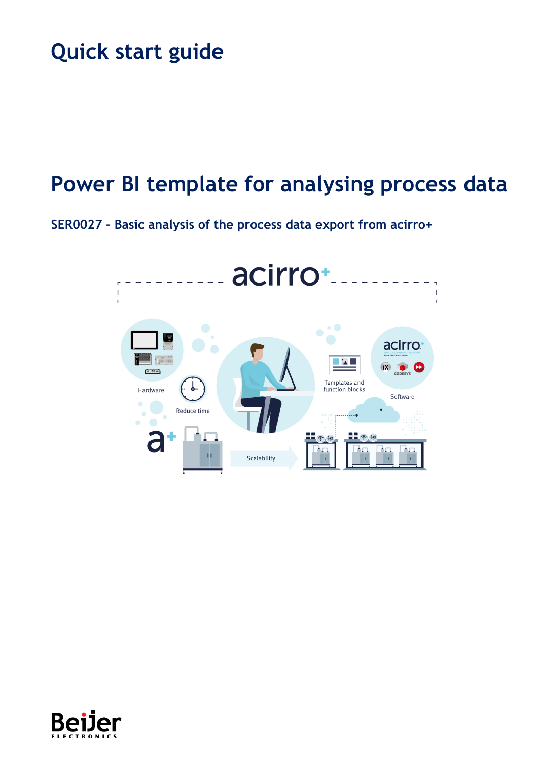# **Quick start guide**

# **Power BI template for analysing process data**

**SER0027 – Basic analysis of the process data export from acirro+**



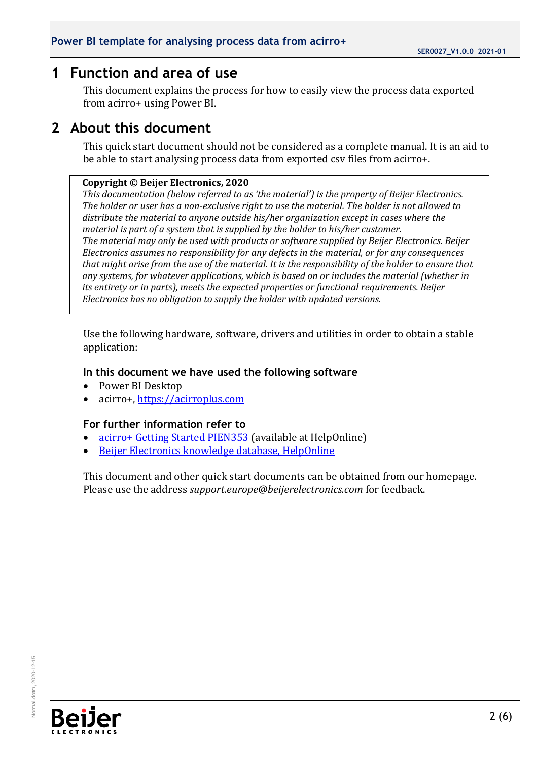## <span id="page-1-0"></span>**1 Function and area of use**

This document explains the process for how to easily view the process data exported from acirro+ using Power BI.

## <span id="page-1-1"></span>**2 About this document**

This quick start document should not be considered as a complete manual. It is an aid to be able to start analysing process data from exported csv files from acirro+.

#### **Copyright © Beijer Electronics, 2020**

*This documentation (below referred to as 'the material') is the property of Beijer Electronics. The holder or user has a non-exclusive right to use the material. The holder is not allowed to distribute the material to anyone outside his/her organization except in cases where the material is part of a system that is supplied by the holder to his/her customer. The material may only be used with products or software supplied by Beijer Electronics. Beijer Electronics assumes no responsibility for any defects in the material, or for any consequences that might arise from the use of the material. It is the responsibility of the holder to ensure that any systems, for whatever applications, which is based on or includes the material (whether in its entirety or in parts), meets the expected properties or functional requirements. Beijer Electronics has no obligation to supply the holder with updated versions.*

Use the following hardware, software, drivers and utilities in order to obtain a stable application:

#### **In this document we have used the following software**

- Power BI Desktop
- acirro+, [https://acirroplus.com](https://acirroplus.com/)

#### **For further information refer to**

- [acirro+ Getting Started PIEN353](https://www.beijerelectronics.com/API/SharePointFileByKnowledgeBaseIdAndIndex/50E5D1B44A1B441C89B84AFD498F9A70/0) (available at HelpOnline)
- [Beijer Electronics knowledge database, HelpOnline](https://www.beijerelectronics.se/sv-SE/Support/file-archive-tree-page)

This document and other quick start documents can be obtained from our homepage. Please use the address *support.europe@beijerelectronics.com* for feedback.

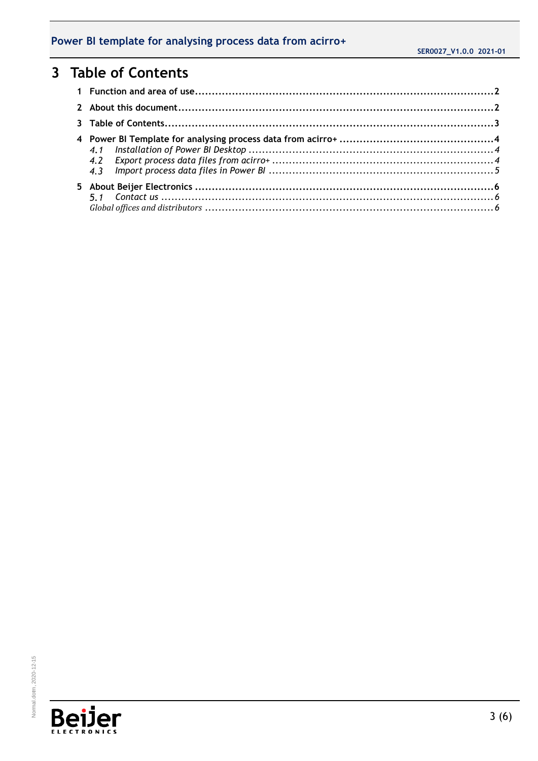# <span id="page-2-0"></span>**3 Table of Contents**

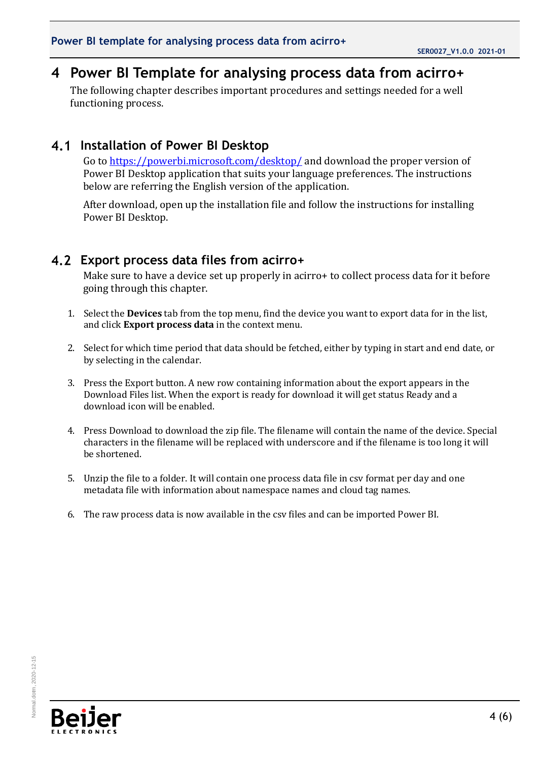# <span id="page-3-0"></span>**4 Power BI Template for analysing process data from acirro+**

The following chapter describes important procedures and settings needed for a well functioning process.

### **Installation of Power BI Desktop**

<span id="page-3-1"></span>Go to<https://powerbi.microsoft.com/desktop/> and download the proper version of Power BI Desktop application that suits your language preferences. The instructions below are referring the English version of the application.

After download, open up the installation file and follow the instructions for installing Power BI Desktop.

### **Export process data files from acirro+**

<span id="page-3-2"></span>Make sure to have a device set up properly in acirro+ to collect process data for it before going through this chapter.

- 1. Select the **Devices** tab from the top menu, find the device you want to export data for in the list, and click **Export process data** in the context menu.
- 2. Select for which time period that data should be fetched, either by typing in start and end date, or by selecting in the calendar.
- 3. Press the Export button. A new row containing information about the export appears in the Download Files list. When the export is ready for download it will get status Ready and a download icon will be enabled.
- 4. Press Download to download the zip file. The filename will contain the name of the device. Special characters in the filename will be replaced with underscore and if the filename is too long it will be shortened.
- 5. Unzip the file to a folder. It will contain one process data file in csv format per day and one metadata file with information about namespace names and cloud tag names.
- 6. The raw process data is now available in the csv files and can be imported Power BI.

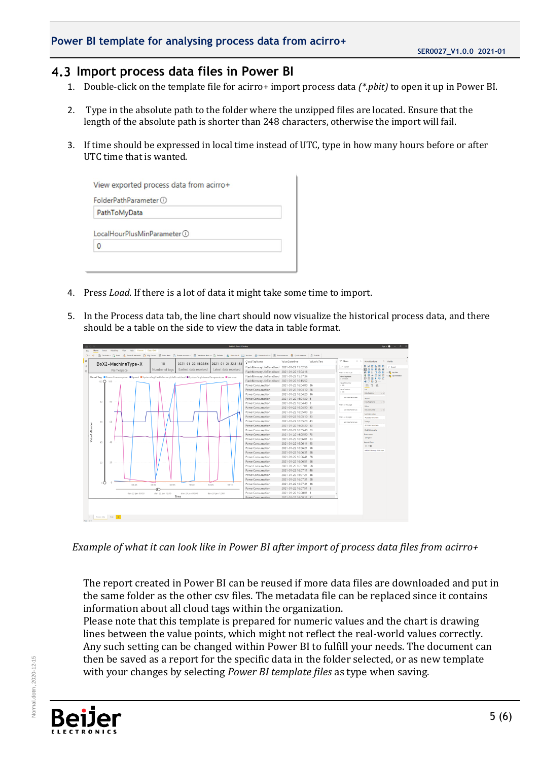#### **Power BI template for analysing process data from acirro+**

### <span id="page-4-0"></span>**Import process data files in Power BI**

- 1. Double-click on the template file for acirro+ import process data *(\*.pbit)* to open it up in Power BI.
- 2. Type in the absolute path to the folder where the unzipped files are located. Ensure that the length of the absolute path is shorter than 248 characters, otherwise the import will fail.
- 3. If time should be expressed in local time instead of UTC, type in how many hours before or after UTC time that is wanted.

| FolderPathParameter (1)       |  |
|-------------------------------|--|
| PathToMyData                  |  |
|                               |  |
|                               |  |
| LocalHourPlusMinParameter (1) |  |

- 4. Press *Load*. If there is a lot of data it might take some time to import.
- 5. In the Process data tab, the line chart should now visualize the historical process data, and there should be a table on the side to view the data in table format.



*Example of what it can look like in Power BI after import of process data files from acirro+*

The report created in Power BI can be reused if more data files are downloaded and put in the same folder as the other csv files. The metadata file can be replaced since it contains information about all cloud tags within the organization.

Please note that this template is prepared for numeric values and the chart is drawing lines between the value points, which might not reflect the real-world values correctly. Any such setting can be changed within Power BI to fulfill your needs. The document can then be saved as a report for the specific data in the folder selected, or as new template with your changes by selecting *Power BI template files* as type when saving.



Normal.dotm, 2020-12-15

Normal.dotm. 2020-12-15